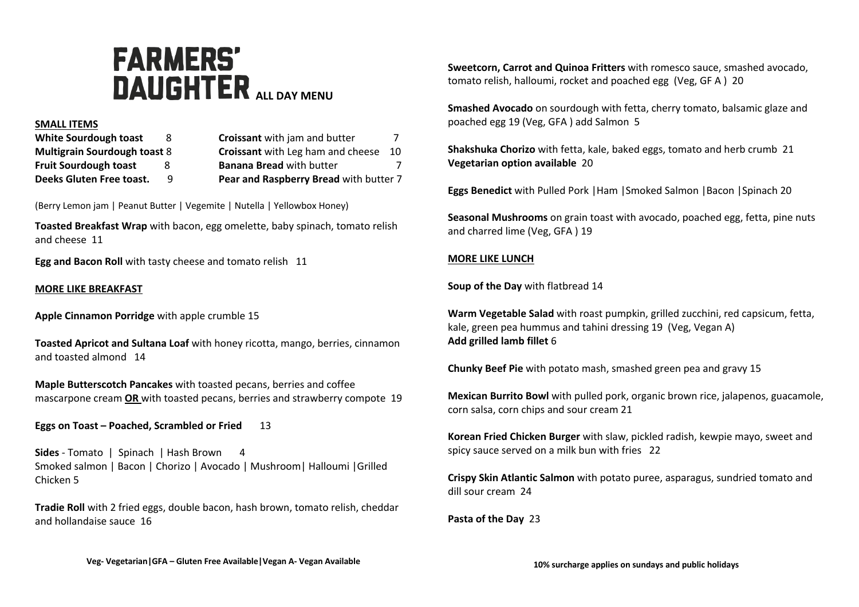# **FARMERS' DAUGHTER** ALL DAY MENU

#### **SMALL ITEMS**

| White Sourdough toast               | 8 | Croissant with jam and butter            |    |
|-------------------------------------|---|------------------------------------------|----|
| <b>Multigrain Sourdough toast 8</b> |   | <b>Croissant</b> with Leg ham and cheese | 10 |
| <b>Fruit Sourdough toast</b>        | x | <b>Banana Bread with butter</b>          |    |
| Deeks Gluten Free toast.            | q | Pear and Raspberry Bread with butter 7   |    |

(Berry Lemon jam | Peanut Butter | Vegemite | Nutella | Yellowbox Honey)

**Toasted Breakfast Wrap** with bacon, egg omelette, baby spinach, tomato relish and cheese 11

**Egg and Bacon Roll** with tasty cheese and tomato relish 11

## **MORE LIKE BREAKFAST**

**Apple Cinnamon Porridge** with apple crumble 15

**Toasted Apricot and Sultana Loaf** with honey ricotta, mango, berries, cinnamon and toasted almond 14

**Maple Butterscotch Pancakes** with toasted pecans, berries and coffee mascarpone cream **OR** with toasted pecans, berries and strawberry compote 19

**Eggs on Toast – Poached, Scrambled or Fried** 13

**Sides** - Tomato | Spinach | Hash Brown 4 Smoked salmon | Bacon | Chorizo | Avocado | Mushroom| Halloumi |Grilled Chicken 5

**Tradie Roll** with 2 fried eggs, double bacon, hash brown, tomato relish, cheddar and hollandaise sauce 16

**Sweetcorn, Carrot and Quinoa Fritters** with romesco sauce, smashed avocado, tomato relish, halloumi, rocket and poached egg (Veg, GF A ) 20

**Smashed Avocado** on sourdough with fetta, cherry tomato, balsamic glaze and poached egg 19 (Veg, GFA ) add Salmon 5

**Shakshuka Chorizo** with fetta, kale, baked eggs, tomato and herb crumb 21 **Vegetarian option available** 20

**Eggs Benedict** with Pulled Pork |Ham |Smoked Salmon |Bacon |Spinach 20

**Seasonal Mushrooms** on grain toast with avocado, poached egg, fetta, pine nuts and charred lime (Veg, GFA ) 19

## **MORE LIKE LUNCH**

**Soup of the Day** with flatbread 14

**Warm Vegetable Salad** with roast pumpkin, grilled zucchini, red capsicum, fetta, kale, green pea hummus and tahini dressing 19 (Veg, Vegan A) **Add grilled lamb fillet** 6

**Chunky Beef Pie** with potato mash, smashed green pea and gravy 15

**Mexican Burrito Bowl** with pulled pork, organic brown rice, jalapenos, guacamole, corn salsa, corn chips and sour cream 21

**Korean Fried Chicken Burger** with slaw, pickled radish, kewpie mayo, sweet and spicy sauce served on a milk bun with fries 22

**Crispy Skin Atlantic Salmon** with potato puree, asparagus, sundried tomato and dill sour cream 24

**Pasta of the Day** 23

**Veg- Vegetarian|GFA – Gluten Free Available|Vegan A- Vegan Available**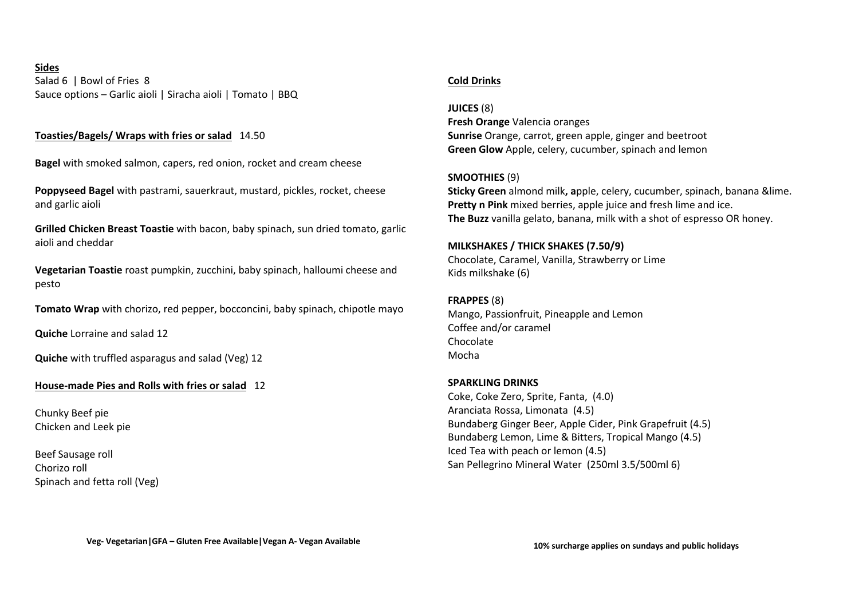**Sides** Salad 6 | Bowl of Fries 8 Sauce options – Garlic aioli | Siracha aioli | Tomato | BBQ

# **Toasties/Bagels/ Wraps with fries or salad** 14.50

**Bagel** with smoked salmon, capers, red onion, rocket and cream cheese

**Poppyseed Bagel** with pastrami, sauerkraut, mustard, pickles, rocket, cheese and garlic aioli

**Grilled Chicken Breast Toastie** with bacon, baby spinach, sun dried tomato, garlic aioli and cheddar

**Vegetarian Toastie** roast pumpkin, zucchini, baby spinach, halloumi cheese and pesto

**Tomato Wrap** with chorizo, red pepper, bocconcini, baby spinach, chipotle mayo

**Quiche** Lorraine and salad 12

**Quiche** with truffled asparagus and salad (Veg) 12

#### **House-made Pies and Rolls with fries or salad** 12

Chunky Beef pie Chicken and Leek pie

Beef Sausage roll Chorizo roll Spinach and fetta roll (Veg)

## **Cold Drinks**

#### **JUICES** (8)

**Fresh Orange** Valencia oranges **Sunrise** Orange, carrot, green apple, ginger and beetroot **Green Glow** Apple, celery, cucumber, spinach and lemon

## **SMOOTHIES** (9)

**Sticky Green** almond milk**, a**pple, celery, cucumber, spinach, banana &lime. **Pretty n Pink** mixed berries, apple juice and fresh lime and ice. **The Buzz** vanilla gelato, banana, milk with a shot of espresso OR honey.

#### **MILKSHAKES / THICK SHAKES (7.50/9)**

Chocolate, Caramel, Vanilla, Strawberry or Lime Kids milkshake (6)

#### **FRAPPES** (8)

Mango, Passionfruit, Pineapple and Lemon Coffee and/or caramel Chocolate Mocha

## **SPARKLING DRINKS**

Coke, Coke Zero, Sprite, Fanta, (4.0) Aranciata Rossa, Limonata (4.5) Bundaberg Ginger Beer, Apple Cider, Pink Grapefruit (4.5) Bundaberg Lemon, Lime & Bitters, Tropical Mango (4.5) Iced Tea with peach or lemon (4.5) San Pellegrino Mineral Water (250ml 3.5/500ml 6)